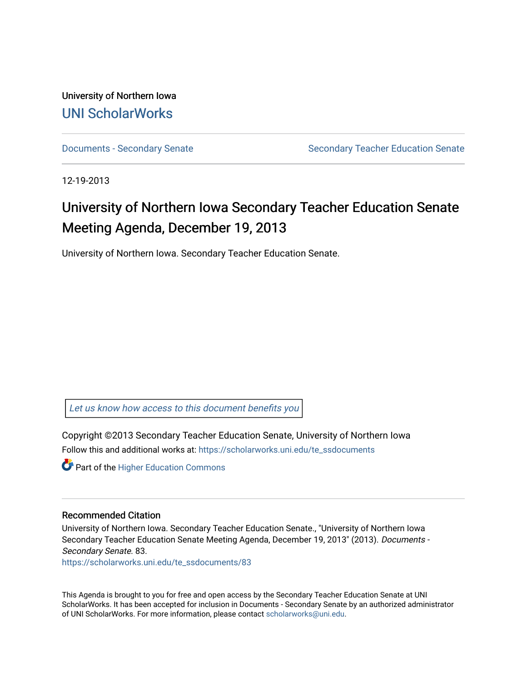University of Northern Iowa [UNI ScholarWorks](https://scholarworks.uni.edu/) 

[Documents - Secondary Senate](https://scholarworks.uni.edu/te_ssdocuments) Senate Secondary Teacher Education Senate

12-19-2013

## University of Northern Iowa Secondary Teacher Education Senate Meeting Agenda, December 19, 2013

University of Northern Iowa. Secondary Teacher Education Senate.

[Let us know how access to this document benefits you](https://scholarworks.uni.edu/feedback_form.html) 

Copyright ©2013 Secondary Teacher Education Senate, University of Northern Iowa Follow this and additional works at: [https://scholarworks.uni.edu/te\\_ssdocuments](https://scholarworks.uni.edu/te_ssdocuments?utm_source=scholarworks.uni.edu%2Fte_ssdocuments%2F83&utm_medium=PDF&utm_campaign=PDFCoverPages) 

**Part of the Higher Education Commons** 

## Recommended Citation

University of Northern Iowa. Secondary Teacher Education Senate., "University of Northern Iowa Secondary Teacher Education Senate Meeting Agenda, December 19, 2013" (2013). Documents - Secondary Senate. 83.

[https://scholarworks.uni.edu/te\\_ssdocuments/83](https://scholarworks.uni.edu/te_ssdocuments/83?utm_source=scholarworks.uni.edu%2Fte_ssdocuments%2F83&utm_medium=PDF&utm_campaign=PDFCoverPages)

This Agenda is brought to you for free and open access by the Secondary Teacher Education Senate at UNI ScholarWorks. It has been accepted for inclusion in Documents - Secondary Senate by an authorized administrator of UNI ScholarWorks. For more information, please contact [scholarworks@uni.edu](mailto:scholarworks@uni.edu).